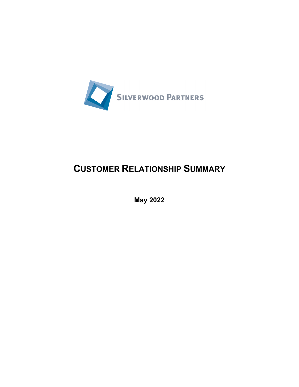

## **CUSTOMER RELATIONSHIP SUMMARY**

**May 2022**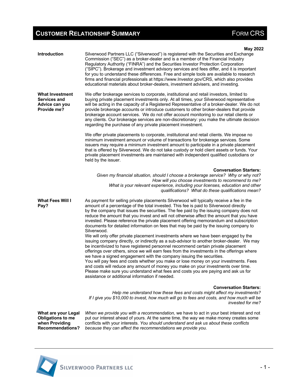## **CUSTOMER RELATIONSHIP SUMMARY EXAMPLE 20 ATTIONS ASSESSED ASSESSED ASSESSED FORM CRS**

| <b>Introduction</b>                                                                          | <b>May 2022</b><br>Silverwood Partners LLC ("Silverwood") is registered with the Securities and Exchange<br>Commission ("SEC") as a broker-dealer and is a member of the Financial Industry<br>Regulatory Authority ("FINRA") and the Securities Investor Protection Corporation<br>("SIPC"). Brokerage and investment advisory services and fees differ, and it is important<br>for you to understand these differences. Free and simple tools are available to research<br>firms and financial professionals at https://www.Investor.gov/CRS, which also provides<br>educational materials about broker-dealers, investment advisers, and investing.                                                                                                                                                                                                                                                                                                                                                                                                                                                                                                                                                                                                                                                                                      |
|----------------------------------------------------------------------------------------------|---------------------------------------------------------------------------------------------------------------------------------------------------------------------------------------------------------------------------------------------------------------------------------------------------------------------------------------------------------------------------------------------------------------------------------------------------------------------------------------------------------------------------------------------------------------------------------------------------------------------------------------------------------------------------------------------------------------------------------------------------------------------------------------------------------------------------------------------------------------------------------------------------------------------------------------------------------------------------------------------------------------------------------------------------------------------------------------------------------------------------------------------------------------------------------------------------------------------------------------------------------------------------------------------------------------------------------------------|
| <b>What Investment</b><br>Services and<br>Advice can you<br>Provide me?                      | We offer brokerage services to corporate, institutional and retail investors, limited to<br>buying private placement investments only. At all times, your Silverwood representative<br>will be acting in the capacity of a Registered Representative of a broker-dealer. We do not<br>provide brokerage accounts or introduce customers to other broker-dealers that provide<br>brokerage account services. We do not offer account monitoring to our retail clients or<br>any clients. Our brokerage services are non-discretionary: you make the ultimate decision<br>regarding the purchase of any private placement investment.                                                                                                                                                                                                                                                                                                                                                                                                                                                                                                                                                                                                                                                                                                         |
|                                                                                              | We offer private placements to corporate, institutional and retail clients. We impose no<br>minimum investment amount or volume of transactions for brokerage services. Some<br>issuers may require a minimum investment amount to participate in a private placement<br>that is offered by Silverwood. We do not take custody or hold client assets or funds. Your<br>private placement investments are maintained with independent qualified custodians or<br>held by the issuer.                                                                                                                                                                                                                                                                                                                                                                                                                                                                                                                                                                                                                                                                                                                                                                                                                                                         |
|                                                                                              | <b>Conversation Starters:</b><br>Given my financial situation, should I choose a brokerage service? Why or why not?<br>How will you choose investments to recommend to me?<br>What is your relevant experience, including your licenses, education and other<br>qualifications? What do these qualifications mean?                                                                                                                                                                                                                                                                                                                                                                                                                                                                                                                                                                                                                                                                                                                                                                                                                                                                                                                                                                                                                          |
| <b>What Fees Will I</b><br>Pay?                                                              | As payment for selling private placements Silverwood will typically receive a fee in the<br>amount of a percentage of the total invested. This fee is paid to Silverwood directly<br>by the company that issues the securities. The fee paid by the issuing company does not<br>reduce the amount that you invest and will not otherwise affect the amount that you have<br>invested. Please reference the private placement offering memorandum and subscription<br>documents for detailed information on fees that may be paid by the issuing company to<br>Silverwood.<br>We will only offer private placement investments where we have been engaged by the<br>issuing company directly, or indirectly as a sub-advisor to another broker-dealer. We may<br>be incentivized to have registered personnel recommend certain private placement<br>offerings over others, since we will earn fees from the investments in the offerings where<br>we have a signed engagement with the company issuing the securities.<br>You will pay fees and costs whether you make or lose money on your investments. Fees<br>and costs will reduce any amount of money you make on your investments over time.<br>Please make sure you understand what fees and costs you are paying and ask us for<br>assistance or additional information if needed. |
|                                                                                              | <b>Conversation Starters:</b><br>Help me understand how these fees and costs might affect my investments?<br>If I give you \$10,000 to invest, how much will go to fees and costs, and how much will be<br>invested for me?                                                                                                                                                                                                                                                                                                                                                                                                                                                                                                                                                                                                                                                                                                                                                                                                                                                                                                                                                                                                                                                                                                                 |
| What are your Legal<br><b>Obligations to me</b><br>when Providing<br><b>Recommendations?</b> | When we provide you with a recommendation, we have to act in your best interest and not<br>put our interest ahead of yours. At the same time, the way we make money creates some<br>conflicts with your interests. You should understand and ask us about these conflicts<br>because they can affect the recommendations we provide you.                                                                                                                                                                                                                                                                                                                                                                                                                                                                                                                                                                                                                                                                                                                                                                                                                                                                                                                                                                                                    |